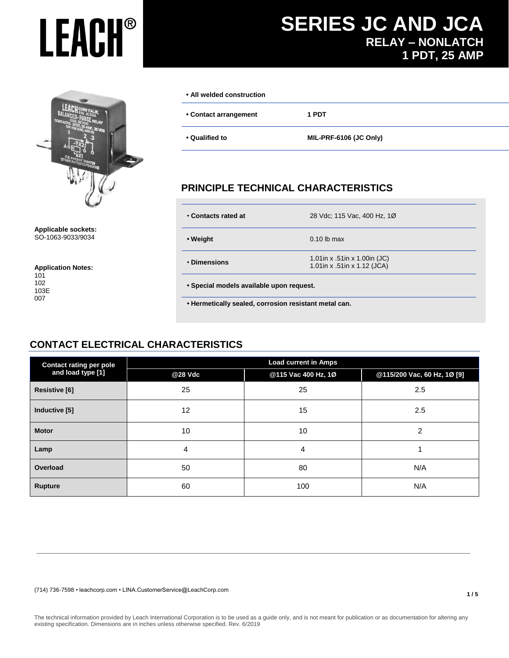**Applicable sockets:** SO-1063-9033/9034

#### **Application Notes:**

| 101  |
|------|
| 102  |
| 103E |
| 007  |

007

#### **• All welded construction**

**• Contact arrangement 1 PDT** 

**• Qualified to MIL-PRF-6106 (JC Only)**

## **PRINCIPLE TECHNICAL CHARACTERISTICS**

| • Contacts rated at                      | 28 Vdc; 115 Vac, 400 Hz, 10                                 |  |  |  |
|------------------------------------------|-------------------------------------------------------------|--|--|--|
| • Weight                                 | $0.10$ lb max                                               |  |  |  |
| • Dimensions                             | 1.01in x .51in x 1.00in (JC)<br>1.01in x .51in x 1.12 (JCA) |  |  |  |
| • Special models available upon request. |                                                             |  |  |  |

 **• Hermetically sealed, corrosion resistant metal can.**

## **CONTACT ELECTRICAL CHARACTERISTICS**

| <b>Contact rating per pole</b> | <b>Load current in Amps</b> |                     |                             |  |  |  |  |
|--------------------------------|-----------------------------|---------------------|-----------------------------|--|--|--|--|
| and load type [1]              | @28 Vdc                     | @115 Vac 400 Hz, 1Ø | @115/200 Vac, 60 Hz, 1Ø [9] |  |  |  |  |
| <b>Resistive [6]</b>           | 25                          | 25                  | 2.5                         |  |  |  |  |
| Inductive [5]                  | 12                          | 15                  | 2.5                         |  |  |  |  |
| <b>Motor</b>                   | 10                          | 10                  | 2                           |  |  |  |  |
| Lamp                           | 4                           | 4                   |                             |  |  |  |  |
| Overload                       | 50                          | 80                  | N/A                         |  |  |  |  |
| <b>Rupture</b>                 | 60                          | 100                 | N/A                         |  |  |  |  |

(714) 736-7598 • leachcorp.com • LINA.CustomerService@LeachCorp.com

# **SERIES JC AND JCA RELAY – NONLATCH 1 PDT, 25 AMP**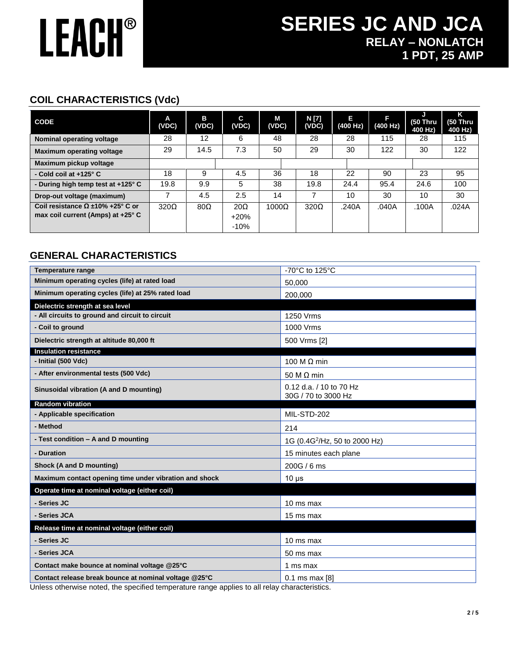# **SERIES JC AND JCA RELAY – NONLATCH 1 PDT, 25 AMP**

## **COIL CHARACTERISTICS (Vdc)**

| <b>CODE</b>                             | A<br>(VDC)  | в<br>(VDC) | C.<br>(VDC) | М<br>(VDC)   | N [7]<br>(VDC) | Е<br>(400 Hz) | ß<br>(400 Hz) | $(50$ Thru<br>400 Hz) | ĸ<br><b>(50 Thru</b><br>400 Hz) |
|-----------------------------------------|-------------|------------|-------------|--------------|----------------|---------------|---------------|-----------------------|---------------------------------|
| Nominal operating voltage               | 28          | 12         | 6           | 48           | 28             | 28            | 115           | 28                    | 115                             |
| <b>Maximum operating voltage</b>        | 29          | 14.5       | 7.3         | 50           | 29             | 30            | 122           | 30                    | 122                             |
| Maximum pickup voltage                  |             |            |             |              |                |               |               |                       |                                 |
| - Cold coil at +125° C                  | 18          | 9          | 4.5         | 36           | 18             | 22            | 90            | 23                    | 95                              |
| - During high temp test at +125° C      | 19.8        | 9.9        | 5           | 38           | 19.8           | 24.4          | 95.4          | 24.6                  | 100                             |
| Drop-out voltage (maximum)              |             | 4.5        | 2.5         | 14           |                | 10            | 30            | 10                    | 30                              |
| Coil resistance $\Omega$ ±10% +25° C or | $320\Omega$ | $80\Omega$ | $20\Omega$  | $1000\Omega$ | $320\Omega$    | .240A         | .040A         | .100A                 | .024A                           |
| max coil current (Amps) at +25° C       |             |            | $+20%$      |              |                |               |               |                       |                                 |
|                                         |             |            | $-10%$      |              |                |               |               |                       |                                 |

## **GENERAL CHARACTERISTICS**

| <b>Temperature range</b>                               | -70°C to 125°C                                 |
|--------------------------------------------------------|------------------------------------------------|
| Minimum operating cycles (life) at rated load          | 50.000                                         |
| Minimum operating cycles (life) at 25% rated load      | 200,000                                        |
| Dielectric strength at sea level                       |                                                |
| - All circuits to ground and circuit to circuit        | 1250 Vrms                                      |
| - Coil to ground                                       | 1000 Vrms                                      |
| Dielectric strength at altitude 80,000 ft              | 500 Vrms [2]                                   |
| <b>Insulation resistance</b>                           |                                                |
| - Initial (500 Vdc)                                    | 100 M $\Omega$ min                             |
| - After environmental tests (500 Vdc)                  | 50 M $\Omega$ min                              |
| Sinusoidal vibration (A and D mounting)                | 0.12 d.a. / 10 to 70 Hz<br>30G / 70 to 3000 Hz |
| <b>Random vibration</b>                                |                                                |
| - Applicable specification                             | MIL-STD-202                                    |
| - Method                                               | 214                                            |
| - Test condition - A and D mounting                    | 1G (0.4G <sup>2</sup> /Hz, 50 to 2000 Hz)      |
| - Duration                                             | 15 minutes each plane                          |
| Shock (A and D mounting)                               | 200G / 6 ms                                    |
| Maximum contact opening time under vibration and shock | $10 \mu s$                                     |
| Operate time at nominal voltage (either coil)          |                                                |
| - Series JC                                            | 10 ms max                                      |
| - Series JCA                                           | 15 ms max                                      |
| Release time at nominal voltage (either coil)          |                                                |
| - Series JC                                            | 10 ms max                                      |
| - Series JCA                                           | 50 ms max                                      |
| Contact make bounce at nominal voltage @25°C           | 1 ms max                                       |
| Contact release break bounce at nominal voltage @25°C  | $0.1$ ms max [8]                               |

Unless otherwise noted, the specified temperature range applies to all relay characteristics.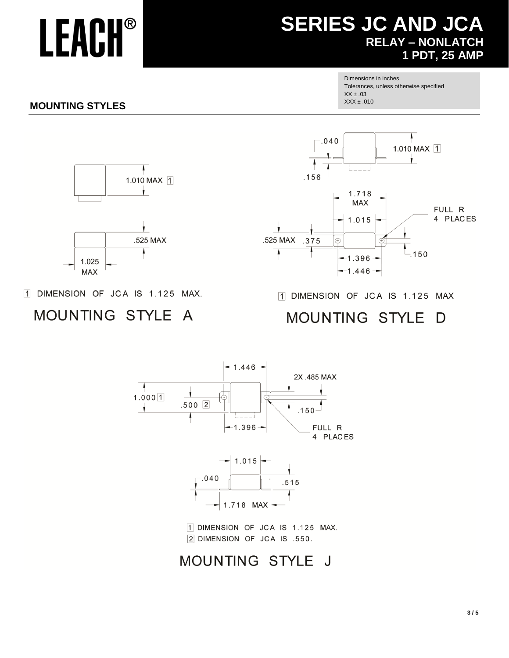# **SERIES JC AND JCA RELAY - NONLATCH 1 PDT, 25 AMP**

Dimensions in inches Tolerances, unless otherwise specified  $XX \pm .03$  $XXX \pm .010$ 

Δ

1.010 MAX 1

## **MOUNTING STYLES**





 $.040$ 

1 DIMENSION OF JCA IS 1.125 MAX.

#### **MOUNTING STYLE**  $\overline{A}$

1 DIMENSION OF JCA IS 1.125 MAX

MOUNTING STYLE D



MOUNTING STYLE J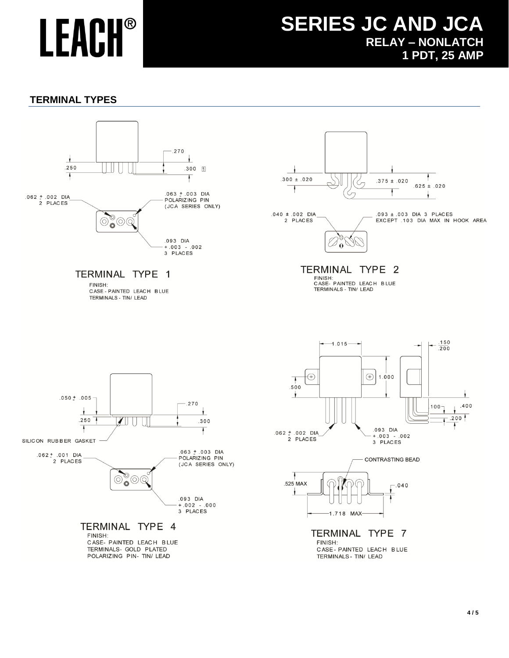# **SERIES JC AND JCA RELAY – NONLATCH 1 PDT, 25 AMP**

## **TERMINAL TYPES**